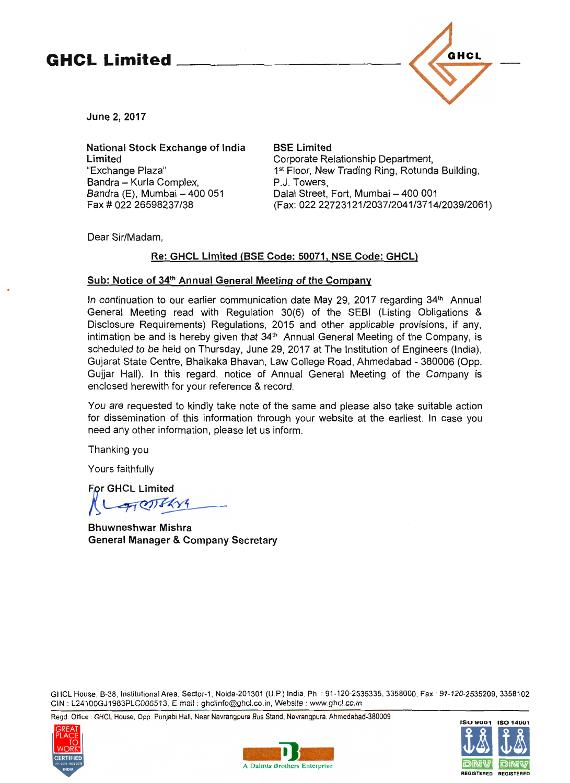# **GHCL Limited** \_\_\_\_\_\_\_\_\_\_ \_



June 2, 2017

National Stock Exchange of India Limited "Exchange Plaza" Bandra - Kurla Complex, Bandra  $(E)$ , Mumbai  $-$  400 051 Fax# 022 26598237/38

BSE Limited Corporate Relationship Department, 1<sup>st</sup> Floor, New Trading Ring, Rotunda Building, P.J. Towers, Dalal Street, Fort, Mumbai - 400 001 (Fax: 022 22723121/2037/2041/3714/2039/2061)

Dear Sir/Madam,

# Re: GHCL Limited (BSE Code: 50071, NSE Code: GHCL)

# Sub: Notice of 34<sup>th</sup> Annual General Meeting of the Company

In continuation to our earlier communication date May 29, 2017 regarding  $34<sup>th</sup>$  Annual General Meeting read with Regulation 30(6) of the SEBI (Listing Obligations & Disclosure Requirements) Regulations, 2015 and other applicable provisions, if any, intimation be and is hereby given that 34<sup>th</sup> Annual General Meeting of the Company, is scheduled to be held on Thursday, June 29, 2017 at The Institution of Engineers (India), Gujarat State Centre, Bhaikaka Bhavan, Law College Road, Ahmedabad - 380006 (Opp. Gujjar Hall). In this regard, notice of Annual General Meeting of the Company is enclosed herewith for your reference & record.

You are requested to kindly take note of the same and please also take suitable action for dissemination of this information through your website at the earliest. In case you need any other information, please let us inform.

Thanking you

Yours faithfully

For GHCL Limited

 $T$ 

Bhuwneshwar Mishra General Manager & Company Secretary

GHCL House, B-38, Institutional Area. Sector-1 , Noida-201301 (U .P.) India. Ph. : 91-120-2535335. 3358000. Fax · 91-120-2535209, 3358102 CIN : L24100GJ1983PLC006513. E-mail : ghclinfo@ghcl.co.in, Website : www.ghcl. co.in

Regd. Office · GHCL House, Opp. Punjabi Hall. Near Navrangpura Bus Stand, Navrangpura. Ahmedabad-380009





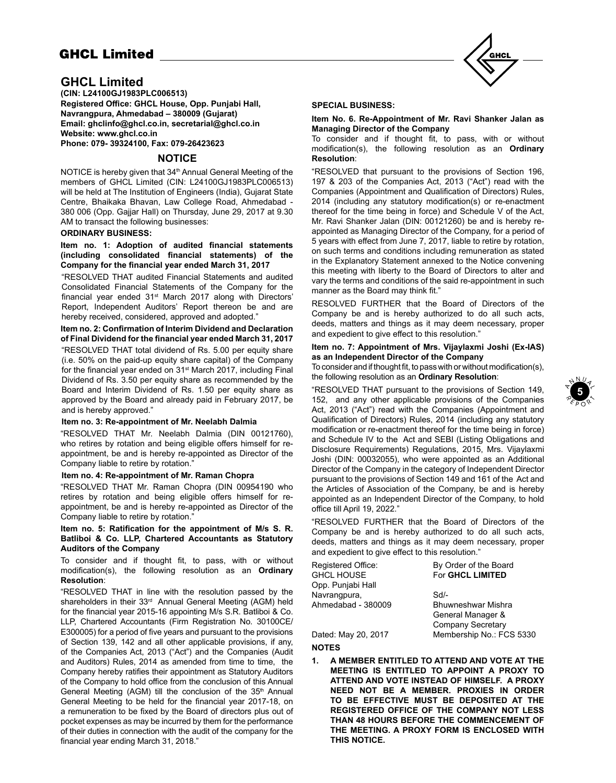# **GHCL Limited**

# **GHCL Limited**

**(CIN: L24100GJ1983PLC006513) Registered Office: GHCL House, Opp. Punjabi Hall, Navrangpura, Ahmedabad – 380009 (Gujarat) Email: ghclinfo@ghcl.co.in, secretarial@ghcl.co.in Website: www.ghcl.co.in**

**Phone: 079- 39324100, Fax: 079-26423623**

# **NOTICE**

NOTICE is hereby given that 34<sup>th</sup> Annual General Meeting of the members of GHCL Limited (CIN: L24100GJ1983PLC006513) will be held at The Institution of Engineers (India), Gujarat State Centre, Bhaikaka Bhavan, Law College Road, Ahmedabad - 380 006 (Opp. Gajjar Hall) on Thursday, June 29, 2017 at 9.30 AM to transact the following businesses:

# **ORDINARY BUSINESS:**

**Item no. 1: Adoption of audited financial statements (including consolidated financial statements) of the Company for the financial year ended March 31, 2017** 

"RESOLVED THAT audited Financial Statements and audited Consolidated Financial Statements of the Company for the financial year ended 31<sup>st</sup> March 2017 along with Directors' Report, Independent Auditors' Report thereon be and are hereby received, considered, approved and adopted."

**Item no. 2: Confirmation of Interim Dividend and Declaration of Final Dividend for the financial year ended March 31, 2017**

"RESOLVED THAT total dividend of Rs. 5.00 per equity share (i.e. 50% on the paid-up equity share capital) of the Company for the financial year ended on 31<sup>st</sup> March 2017, including Final Dividend of Rs. 3.50 per equity share as recommended by the Board and Interim Dividend of Rs. 1.50 per equity share as approved by the Board and already paid in February 2017, be and is hereby approved."

#### **Item no. 3: Re-appointment of Mr. Neelabh Dalmia**

"RESOLVED THAT Mr. Neelabh Dalmia (DIN 00121760), who retires by rotation and being eligible offers himself for reappointment, be and is hereby re-appointed as Director of the Company liable to retire by rotation."

## **Item no. 4: Re-appointment of Mr. Raman Chopra**

"RESOLVED THAT Mr. Raman Chopra (DIN 00954190 who retires by rotation and being eligible offers himself for reappointment, be and is hereby re-appointed as Director of the Company liable to retire by rotation."

# **Item no. 5: Ratification for the appointment of M/s S. R. Batliboi & Co. LLP, Chartered Accountants as Statutory Auditors of the Company**

To consider and if thought fit, to pass, with or without modification(s), the following resolution as an **Ordinary Resolution**:

"RESOLVED THAT in line with the resolution passed by the shareholders in their 33<sup>rd</sup> Annual General Meeting (AGM) held for the financial year 2015-16 appointing M/s S.R. Batliboi & Co. LLP, Chartered Accountants (Firm Registration No. 30100CE/ E300005) for a period of five years and pursuant to the provisions of Section 139, 142 and all other applicable provisions, if any, of the Companies Act, 2013 ("Act") and the Companies (Audit and Auditors) Rules, 2014 as amended from time to time, the Company hereby ratifies their appointment as Statutory Auditors of the Company to hold office from the conclusion of this Annual General Meeting (AGM) till the conclusion of the 35<sup>th</sup> Annual General Meeting to be held for the financial year 2017-18, on a remuneration to be fixed by the Board of directors plus out of pocket expenses as may be incurred by them for the performance of their duties in connection with the audit of the company for the financial year ending March 31, 2018."



#### **SPECIAL BUSINESS:**

#### **Item No. 6. Re-Appointment of Mr. Ravi Shanker Jalan as Managing Director of the Company**

To consider and if thought fit, to pass, with or without modification(s), the following resolution as an **Ordinary Resolution**:

"RESOLVED that pursuant to the provisions of Section 196, 197 & 203 of the Companies Act, 2013 ("Act") read with the Companies (Appointment and Qualification of Directors) Rules, 2014 (including any statutory modification(s) or re-enactment thereof for the time being in force) and Schedule V of the Act, Mr. Ravi Shanker Jalan (DIN: 00121260) be and is hereby reappointed as Managing Director of the Company, for a period of 5 years with effect from June 7, 2017, liable to retire by rotation, on such terms and conditions including remuneration as stated in the Explanatory Statement annexed to the Notice convening this meeting with liberty to the Board of Directors to alter and vary the terms and conditions of the said re-appointment in such manner as the Board may think fit."

RESOLVED FURTHER that the Board of Directors of the Company be and is hereby authorized to do all such acts, deeds, matters and things as it may deem necessary, proper and expedient to give effect to this resolution."

# **Item no. 7: Appointment of Mrs. Vijaylaxmi Joshi (Ex-IAS) as an Independent Director of the Company**

To consider and if thought fit, to pass with or without modification(s), the following resolution as an **Ordinary Resolution**:

"RESOLVED THAT pursuant to the provisions of Section 149, 152, and any other applicable provisions of the Companies Act, 2013 ("Act") read with the Companies (Appointment and Qualification of Directors) Rules, 2014 (including any statutory modification or re-enactment thereof for the time being in force) and Schedule IV to the Act and SEBI (Listing Obligations and Disclosure Requirements) Regulations, 2015, Mrs. Vijaylaxmi Joshi (DIN: 00032055), who were appointed as an Additional Director of the Company in the category of Independent Director pursuant to the provisions of Section 149 and 161 of the Act and the Articles of Association of the Company, be and is hereby appointed as an Independent Director of the Company, to hold office till April 19, 2022."

"RESOLVED FURTHER that the Board of Directors of the Company be and is hereby authorized to do all such acts, deeds, matters and things as it may deem necessary, proper and expedient to give effect to this resolution."

| Registered Office: | By Order of the Board     |
|--------------------|---------------------------|
| GHCL HOUSE         | For GHCL LIMITED          |
| Opp. Punjabi Hall  |                           |
| Navrangpura,       | $Sd$ -                    |
| Ahmedabad - 380009 | <b>Bhuwneshwar Mishra</b> |
|                    | General Manager &         |
|                    | <b>Company Secretary</b>  |

Dated: May 20, 2017 Membership No.: FCS 5330

# **NOTES**

**1. A MEMBER ENTITLED TO ATTEND AND VOTE AT THE MEETING IS ENTITLED TO APPOINT A PROXY TO ATTEND AND VOTE INSTEAD OF HIMSELF. A PROXY NEED NOT BE A MEMBER. PROXIES IN ORDER TO BE EFFECTIVE MUST BE DEPOSITED AT THE REGISTERED OFFICE OF THE COMPANY NOT LESS THAN 48 HOURS BEFORE THE COMMENCEMENT OF THE MEETING. A PROXY FORM IS ENCLOSED WITH THIS NOTICE.**

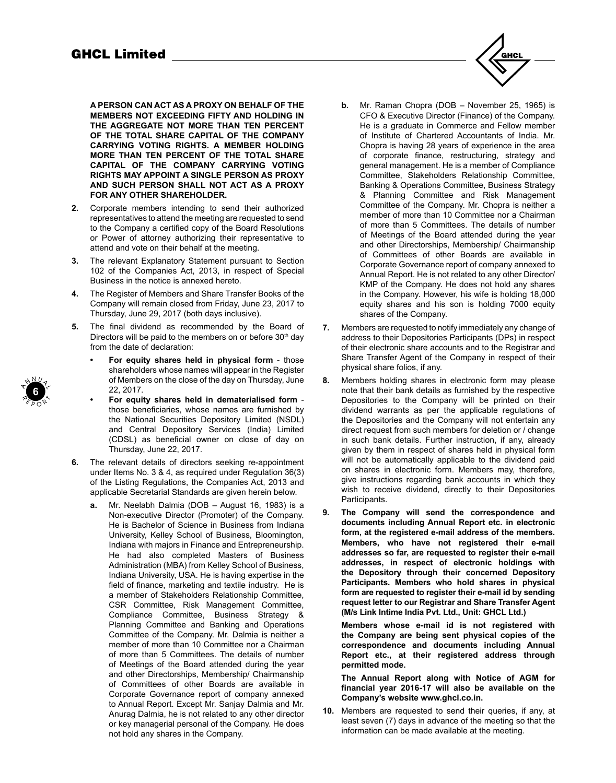**A PERSON CAN ACT AS A PROXY ON BEHALF OF THE MEMBERS NOT EXCEEDING FIFTY AND HOLDING IN THE AGGREGATE NOT MORE THAN TEN PERCENT OF THE TOTAL SHARE CAPITAL OF THE COMPANY CARRYING VOTING RIGHTS. A MEMBER HOLDING MORE THAN TEN PERCENT OF THE TOTAL SHARE CAPITAL OF THE COMPANY CARRYING VOTING RIGHTS MAY APPOINT A SINGLE PERSON AS PROXY AND SUCH PERSON SHALL NOT ACT AS A PROXY FOR ANY OTHER SHAREHOLDER.**

- **2.** Corporate members intending to send their authorized representatives to attend the meeting are requested to send to the Company a certified copy of the Board Resolutions or Power of attorney authorizing their representative to attend and vote on their behalf at the meeting.
- **3.** The relevant Explanatory Statement pursuant to Section 102 of the Companies Act, 2013, in respect of Special Business in the notice is annexed hereto.
- **4.** The Register of Members and Share Transfer Books of the Company will remain closed from Friday, June 23, 2017 to Thursday, June 29, 2017 (both days inclusive).
- **5.** The final dividend as recommended by the Board of Directors will be paid to the members on or before  $30<sup>th</sup>$  day from the date of declaration:
	- **• For equity shares held in physical form** those shareholders whose names will appear in the Register of Members on the close of the day on Thursday, June 22, 2017.
	- **• For equity shares held in dematerialised form** those beneficiaries, whose names are furnished by the National Securities Depository Limited (NSDL) and Central Depository Services (India) Limited (CDSL) as beneficial owner on close of day on Thursday, June 22, 2017.
- **6.** The relevant details of directors seeking re-appointment under Items No. 3 & 4, as required under Regulation 36(3) of the Listing Regulations, the Companies Act, 2013 and applicable Secretarial Standards are given herein below.
	- **a.** Mr. Neelabh Dalmia (DOB August 16, 1983) is a Non-executive Director (Promoter) of the Company. He is Bachelor of Science in Business from Indiana University, Kelley School of Business, Bloomington, Indiana with majors in Finance and Entrepreneurship. He had also completed Masters of Business Administration (MBA) from Kelley School of Business, Indiana University, USA. He is having expertise in the field of finance, marketing and textile industry. He is a member of Stakeholders Relationship Committee, CSR Committee, Risk Management Committee, Compliance Committee, Business Strategy & Planning Committee and Banking and Operations Committee of the Company. Mr. Dalmia is neither a member of more than 10 Committee nor a Chairman of more than 5 Committees. The details of number of Meetings of the Board attended during the year and other Directorships, Membership/ Chairmanship of Committees of other Boards are available in Corporate Governance report of company annexed to Annual Report. Except Mr. Sanjay Dalmia and Mr. Anurag Dalmia, he is not related to any other director or key managerial personal of the Company. He does not hold any shares in the Company.
- **b.** Mr. Raman Chopra (DOB November 25, 1965) is CFO & Executive Director (Finance) of the Company. He is a graduate in Commerce and Fellow member of Institute of Chartered Accountants of India. Mr. Chopra is having 28 years of experience in the area of corporate finance, restructuring, strategy and general management. He is a member of Compliance Committee, Stakeholders Relationship Committee, Banking & Operations Committee, Business Strategy & Planning Committee and Risk Management Committee of the Company. Mr. Chopra is neither a member of more than 10 Committee nor a Chairman of more than 5 Committees. The details of number of Meetings of the Board attended during the year and other Directorships, Membership/ Chairmanship of Committees of other Boards are available in Corporate Governance report of company annexed to Annual Report. He is not related to any other Director/ KMP of the Company. He does not hold any shares in the Company. However, his wife is holding 18,000 equity shares and his son is holding 7000 equity shares of the Company.
- **7.** Members are requested to notify immediately any change of address to their Depositories Participants (DPs) in respect of their electronic share accounts and to the Registrar and Share Transfer Agent of the Company in respect of their physical share folios, if any.
- **8.** Members holding shares in electronic form may please note that their bank details as furnished by the respective Depositories to the Company will be printed on their dividend warrants as per the applicable regulations of the Depositories and the Company will not entertain any direct request from such members for deletion or / change in such bank details. Further instruction, if any, already given by them in respect of shares held in physical form will not be automatically applicable to the dividend paid on shares in electronic form. Members may, therefore, give instructions regarding bank accounts in which they wish to receive dividend, directly to their Depositories Participants.
- **9. The Company will send the correspondence and documents including Annual Report etc. in electronic form, at the registered e-mail address of the members. Members, who have not registered their e-mail addresses so far, are requested to register their e-mail addresses, in respect of electronic holdings with the Depository through their concerned Depository Participants. Members who hold shares in physical form are requested to register their e-mail id by sending request letter to our Registrar and Share Transfer Agent (M/s Link Intime India Pvt. Ltd., Unit: GHCL Ltd.)**

**Members whose e-mail id is not registered with the Company are being sent physical copies of the correspondence and documents including Annual Report etc., at their registered address through permitted mode.**

**The Annual Report along with Notice of AGM for financial year 2016-17 will also be available on the Company's website www.ghcl.co.in.**

**10.** Members are requested to send their queries, if any, at least seven (7) days in advance of the meeting so that the information can be made available at the meeting.



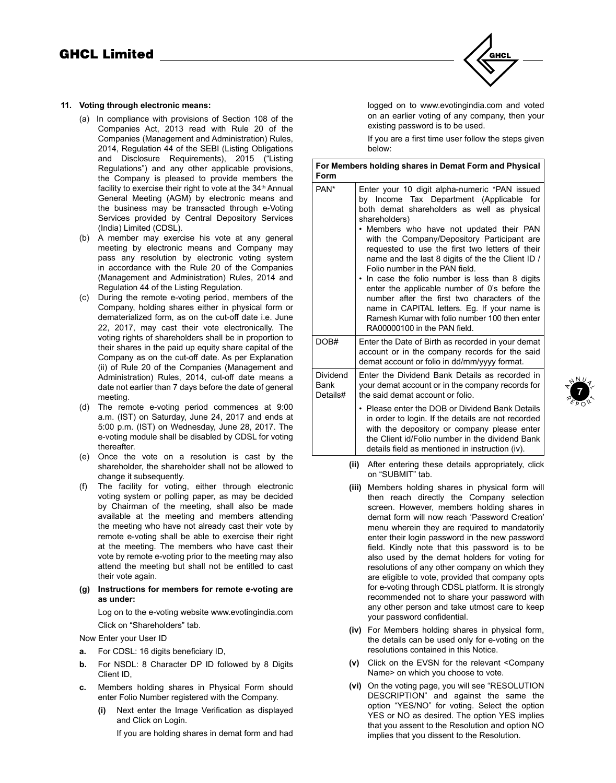# **11. Voting through electronic means:**

- (a) In compliance with provisions of Section 108 of the Companies Act, 2013 read with Rule 20 of the Companies (Management and Administration) Rules, 2014, Regulation 44 of the SEBI (Listing Obligations and Disclosure Requirements), 2015 ("Listing Regulations") and any other applicable provisions, the Company is pleased to provide members the facility to exercise their right to vote at the 34<sup>th</sup> Annual General Meeting (AGM) by electronic means and the business may be transacted through e-Voting Services provided by Central Depository Services (India) Limited (CDSL).
- (b) A member may exercise his vote at any general meeting by electronic means and Company may pass any resolution by electronic voting system in accordance with the Rule 20 of the Companies (Management and Administration) Rules, 2014 and Regulation 44 of the Listing Regulation.
- (c) During the remote e-voting period, members of the Company, holding shares either in physical form or dematerialized form, as on the cut-off date i.e. June 22, 2017, may cast their vote electronically. The voting rights of shareholders shall be in proportion to their shares in the paid up equity share capital of the Company as on the cut-off date. As per Explanation (ii) of Rule 20 of the Companies (Management and Administration) Rules, 2014, cut-off date means a date not earlier than 7 days before the date of general meeting.
- (d) The remote e-voting period commences at 9:00 a.m. (IST) on Saturday, June 24, 2017 and ends at 5:00 p.m. (IST) on Wednesday, June 28, 2017. The e-voting module shall be disabled by CDSL for voting thereafter.
- (e) Once the vote on a resolution is cast by the shareholder, the shareholder shall not be allowed to change it subsequently.
- (f) The facility for voting, either through electronic voting system or polling paper, as may be decided by Chairman of the meeting, shall also be made available at the meeting and members attending the meeting who have not already cast their vote by remote e-voting shall be able to exercise their right at the meeting. The members who have cast their vote by remote e-voting prior to the meeting may also attend the meeting but shall not be entitled to cast their vote again.
- **(g) Instructions for members for remote e-voting are as under:**

 Log on to the e-voting website www.evotingindia.com Click on "Shareholders" tab.

Now Enter your User ID

- **a.** For CDSL: 16 digits beneficiary ID,
- **b.** For NSDL: 8 Character DP ID followed by 8 Digits Client ID,
- **c.** Members holding shares in Physical Form should enter Folio Number registered with the Company.
	- **(i)** Next enter the Image Verification as displayed and Click on Login.

If you are holding shares in demat form and had



logged on to www.evotingindia.com and voted on an earlier voting of any company, then your existing password is to be used.

If you are a first time user follow the steps given below:

| Form                         | For Members holding shares in Demat Form and Physical                                                                                                                                                                                                                                                                                                                                                                                                                                                                                                                                                                                                                              |
|------------------------------|------------------------------------------------------------------------------------------------------------------------------------------------------------------------------------------------------------------------------------------------------------------------------------------------------------------------------------------------------------------------------------------------------------------------------------------------------------------------------------------------------------------------------------------------------------------------------------------------------------------------------------------------------------------------------------|
| PAN*                         | Enter your 10 digit alpha-numeric *PAN issued<br>by Income Tax Department (Applicable for<br>both demat shareholders as well as physical<br>shareholders)<br>• Members who have not updated their PAN<br>with the Company/Depository Participant are<br>requested to use the first two letters of their<br>name and the last 8 digits of the the Client ID /<br>Folio number in the PAN field.<br>In case the folio number is less than 8 digits<br>enter the applicable number of 0's before the<br>number after the first two characters of the<br>name in CAPITAL letters. Eg. If your name is<br>Ramesh Kumar with folio number 100 then enter<br>RA00000100 in the PAN field. |
| DOB#                         | Enter the Date of Birth as recorded in your demat<br>account or in the company records for the said<br>demat account or folio in dd/mm/yyyy format.                                                                                                                                                                                                                                                                                                                                                                                                                                                                                                                                |
| Dividend<br>Bank<br>Details# | Enter the Dividend Bank Details as recorded in<br>your demat account or in the company records for<br>the said demat account or folio.                                                                                                                                                                                                                                                                                                                                                                                                                                                                                                                                             |
|                              | • Please enter the DOB or Dividend Bank Details<br>in order to login. If the details are not recorded<br>with the depository or company please enter<br>the Client id/Folio number in the dividend Bank<br>details field as mentioned in instruction (iv).                                                                                                                                                                                                                                                                                                                                                                                                                         |

- **(ii)** After entering these details appropriately, click on "SUBMIT" tab.
- **(iii)** Members holding shares in physical form will then reach directly the Company selection screen. However, members holding shares in demat form will now reach 'Password Creation' menu wherein they are required to mandatorily enter their login password in the new password field. Kindly note that this password is to be also used by the demat holders for voting for resolutions of any other company on which they are eligible to vote, provided that company opts for e-voting through CDSL platform. It is strongly recommended not to share your password with any other person and take utmost care to keep your password confidential.
- **(iv)** For Members holding shares in physical form, the details can be used only for e-voting on the resolutions contained in this Notice.
- **(v)** Click on the EVSN for the relevant <Company Name> on which you choose to vote.
- **(vi)** On the voting page, you will see "RESOLUTION DESCRIPTION" and against the same the option "YES/NO" for voting. Select the option YES or NO as desired. The option YES implies that you assent to the Resolution and option NO implies that you dissent to the Resolution.

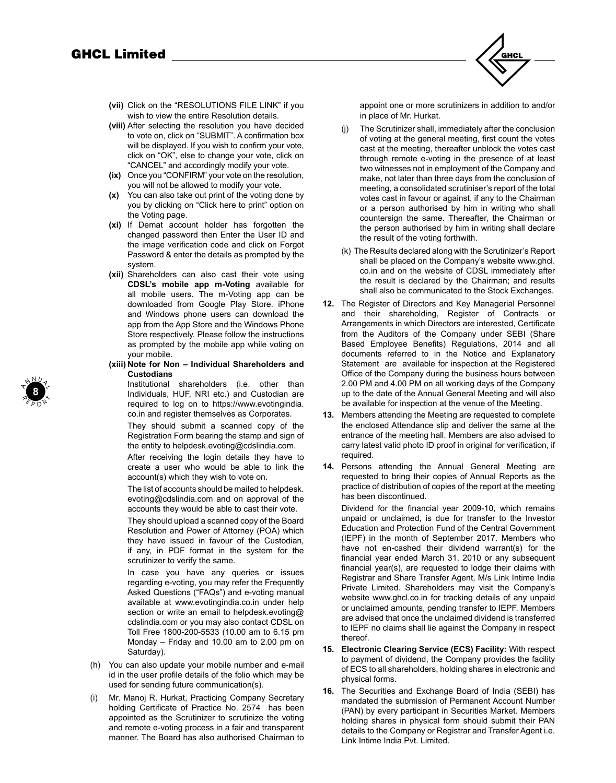

- **(vii)** Click on the "RESOLUTIONS FILE LINK" if you wish to view the entire Resolution details.
- **(viii)** After selecting the resolution you have decided to vote on, click on "SUBMIT". A confirmation box will be displayed. If you wish to confirm your vote, click on "OK", else to change your vote, click on "CANCEL" and accordingly modify your vote.
- **(ix)** Once you "CONFIRM" your vote on the resolution, you will not be allowed to modify your vote.
- **(x)** You can also take out print of the voting done by you by clicking on "Click here to print" option on the Voting page.
- **(xi)** If Demat account holder has forgotten the changed password then Enter the User ID and the image verification code and click on Forgot Password & enter the details as prompted by the system.
- **(xii)** Shareholders can also cast their vote using **CDSL's mobile app m-Voting** available for all mobile users. The m-Voting app can be downloaded from Google Play Store. iPhone and Windows phone users can download the app from the App Store and the Windows Phone Store respectively. Please follow the instructions as prompted by the mobile app while voting on your mobile.
- **(xiii) Note for Non Individual Shareholders and Custodians**

Institutional shareholders (i.e. other than Individuals, HUF, NRI etc.) and Custodian are required to log on to https://www.evotingindia. co.in and register themselves as Corporates.

They should submit a scanned copy of the Registration Form bearing the stamp and sign of the entity to helpdesk.evoting@cdslindia.com.

After receiving the login details they have to create a user who would be able to link the account(s) which they wish to vote on.

The list of accounts should be mailed to helpdesk. evoting@cdslindia.com and on approval of the accounts they would be able to cast their vote.

They should upload a scanned copy of the Board Resolution and Power of Attorney (POA) which they have issued in favour of the Custodian, if any, in PDF format in the system for the scrutinizer to verify the same.

In case you have any queries or issues regarding e-voting, you may refer the Frequently Asked Questions ("FAQs") and e-voting manual available at www.evotingindia.co.in under help section or write an email to helpdesk.evoting@ cdslindia.com or you may also contact CDSL on Toll Free 1800-200-5533 (10.00 am to 6.15 pm Monday – Friday and 10.00 am to 2.00 pm on Saturday).

- (h) You can also update your mobile number and e-mail id in the user profile details of the folio which may be used for sending future communication(s).
- (i) Mr. Manoj R. Hurkat, Practicing Company Secretary holding Certificate of Practice No. 2574 has been appointed as the Scrutinizer to scrutinize the voting and remote e-voting process in a fair and transparent manner. The Board has also authorised Chairman to

appoint one or more scrutinizers in addition to and/or in place of Mr. Hurkat.

- (j) The Scrutinizer shall, immediately after the conclusion of voting at the general meeting, first count the votes cast at the meeting, thereafter unblock the votes cast through remote e-voting in the presence of at least two witnesses not in employment of the Company and make, not later than three days from the conclusion of meeting, a consolidated scrutiniser's report of the total votes cast in favour or against, if any to the Chairman or a person authorised by him in writing who shall countersign the same. Thereafter, the Chairman or the person authorised by him in writing shall declare the result of the voting forthwith.
- (k) The Results declared along with the Scrutinizer's Report shall be placed on the Company's website www.ghcl. co.in and on the website of CDSL immediately after the result is declared by the Chairman; and results shall also be communicated to the Stock Exchanges.
- **12.** The Register of Directors and Key Managerial Personnel and their shareholding, Register of Contracts or Arrangements in which Directors are interested, Certificate from the Auditors of the Company under SEBI (Share Based Employee Benefits) Regulations, 2014 and all documents referred to in the Notice and Explanatory Statement are available for inspection at the Registered Office of the Company during the business hours between 2.00 PM and 4.00 PM on all working days of the Company up to the date of the Annual General Meeting and will also be available for inspection at the venue of the Meeting.
- **13.** Members attending the Meeting are requested to complete the enclosed Attendance slip and deliver the same at the entrance of the meeting hall. Members are also advised to carry latest valid photo ID proof in original for verification, if required.
- **14.** Persons attending the Annual General Meeting are requested to bring their copies of Annual Reports as the practice of distribution of copies of the report at the meeting has been discontinued.

Dividend for the financial year 2009-10, which remains unpaid or unclaimed, is due for transfer to the Investor Education and Protection Fund of the Central Government (IEPF) in the month of September 2017. Members who have not en-cashed their dividend warrant(s) for the financial year ended March 31, 2010 or any subsequent financial year(s), are requested to lodge their claims with Registrar and Share Transfer Agent, M/s Link Intime India Private Limited. Shareholders may visit the Company's website www.ghcl.co.in for tracking details of any unpaid or unclaimed amounts, pending transfer to IEPF. Members are advised that once the unclaimed dividend is transferred to IEPF no claims shall lie against the Company in respect thereof.

- **15. Electronic Clearing Service (ECS) Facility:** With respect to payment of dividend, the Company provides the facility of ECS to all shareholders, holding shares in electronic and physical forms.
- **16.** The Securities and Exchange Board of India (SEBI) has mandated the submission of Permanent Account Number (PAN) by every participant in Securities Market. Members holding shares in physical form should submit their PAN details to the Company or Registrar and Transfer Agent i.e. Link Intime India Pvt. Limited.

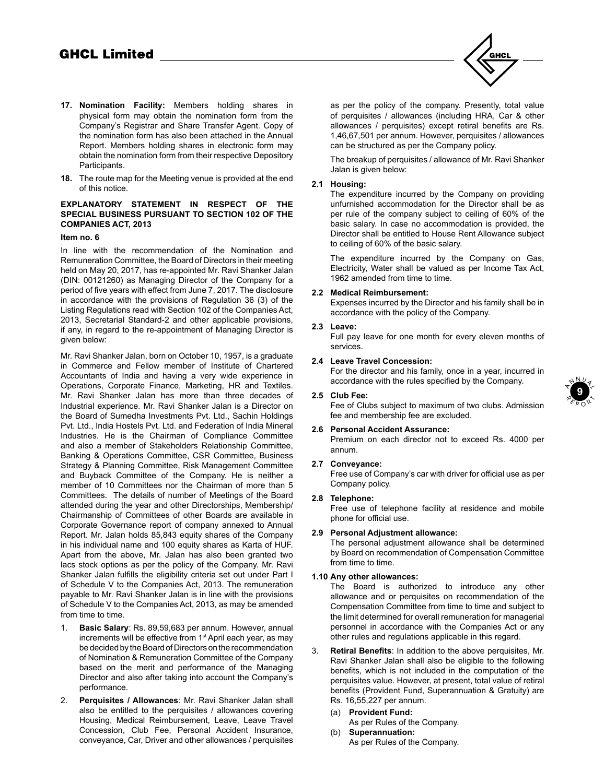

- **17. Nomination Facility:** Members holding shares in physical form may obtain the nomination form from the Company's Registrar and Share Transfer Agent. Copy of the nomination form has also been attached in the Annual Report. Members holding shares in electronic form may obtain the nomination form from their respective Depository Participants.
- **18.** The route map for the Meeting venue is provided at the end of this notice.

# **EXPLANATORY STATEMENT IN RESPECT OF THE SPECIAL BUSINESS PURSUANT TO SECTION 102 OF THE COMPANIES ACT, 2013**

#### **Item no. 6**

In line with the recommendation of the Nomination and Remuneration Committee, the Board of Directors in their meeting held on May 20, 2017, has re-appointed Mr. Ravi Shanker Jalan (DIN: 00121260) as Managing Director of the Company for a period of five years with effect from June 7, 2017. The disclosure in accordance with the provisions of Regulation 36 (3) of the Listing Regulations read with Section 102 of the Companies Act, 2013, Secretarial Standard-2 and other applicable provisions, if any, in regard to the re-appointment of Managing Director is given below:

Mr. Ravi Shanker Jalan, born on October 10, 1957, is a graduate in Commerce and Fellow member of Institute of Chartered Accountants of India and having a very wide experience in Operations, Corporate Finance, Marketing, HR and Textiles. Mr. Ravi Shanker Jalan has more than three decades of Industrial experience. Mr. Ravi Shanker Jalan is a Director on the Board of Sumedha Investments Pvt. Ltd., Sachin Holdings Pvt. Ltd., India Hostels Pvt. Ltd. and Federation of India Mineral Industries. He is the Chairman of Compliance Committee and also a member of Stakeholders Relationship Committee, Banking & Operations Committee, CSR Committee, Business Strategy & Planning Committee, Risk Management Committee and Buyback Committee of the Company. He is neither a member of 10 Committees nor the Chairman of more than 5 Committees. The details of number of Meetings of the Board attended during the year and other Directorships, Membership/ Chairmanship of Committees of other Boards are available in Corporate Governance report of company annexed to Annual Report. Mr. Jalan holds 85,843 equity shares of the Company in his individual name and 100 equity shares as Karta of HUF. Apart from the above, Mr. Jalan has also been granted two lacs stock options as per the policy of the Company. Mr. Ravi Shanker Jalan fulfills the eligibility criteria set out under Part I of Schedule V to the Companies Act, 2013. The remuneration payable to Mr. Ravi Shanker Jalan is in line with the provisions of Schedule V to the Companies Act, 2013, as may be amended from time to time.

- 1. **Basic Salary**: Rs. 89,59,683 per annum. However, annual increments will be effective from 1<sup>st</sup> April each year, as may be decided by the Board of Directors on the recommendation of Nomination & Remuneration Committee of the Company based on the merit and performance of the Managing Director and also after taking into account the Company's performance.
- 2. **Perquisites / Allowances**: Mr. Ravi Shanker Jalan shall also be entitled to the perquisites / allowances covering Housing, Medical Reimbursement, Leave, Leave Travel Concession, Club Fee, Personal Accident Insurance, conveyance, Car, Driver and other allowances / perquisites

as per the policy of the company. Presently, total value of perquisites / allowances (including HRA, Car & other allowances / perquisites) except retiral benefits are Rs. 1,46,67,501 per annum. However, perquisites / allowances can be structured as per the Company policy.

The breakup of perquisites / allowance of Mr. Ravi Shanker Jalan is given below:

# **2.1 Housing:**

The expenditure incurred by the Company on providing unfurnished accommodation for the Director shall be as per rule of the company subject to ceiling of 60% of the basic salary. In case no accommodation is provided, the Director shall be entitled to House Rent Allowance subject to ceiling of 60% of the basic salary.

The expenditure incurred by the Company on Gas, Electricity, Water shall be valued as per Income Tax Act, 1962 amended from time to time.

# **2.2 Medical Reimbursement:**

Expenses incurred by the Director and his family shall be in accordance with the policy of the Company.

#### **2.3 Leave:**

Full pay leave for one month for every eleven months of services.

# **2.4 Leave Travel Concession:**

For the director and his family, once in a year, incurred in accordance with the rules specified by the Company.

# **2.5 Club Fee:**

Fee of Clubs subject to maximum of two clubs. Admission fee and membership fee are excluded.

# **2.6 Personal Accident Assurance:**

Premium on each director not to exceed Rs. 4000 per annum.

# **2.7 Conveyance:**

Free use of Company's car with driver for official use as per Company policy.

# **2.8 Telephone:**

Free use of telephone facility at residence and mobile phone for official use.

# **2.9 Personal Adjustment allowance:**

The personal adjustment allowance shall be determined by Board on recommendation of Compensation Committee from time to time.

# **1.10 Any other allowances:**

The Board is authorized to introduce any other allowance and or perquisites on recommendation of the Compensation Committee from time to time and subject to the limit determined for overall remuneration for managerial personnel in accordance with the Companies Act or any other rules and regulations applicable in this regard.

- 3. **Retiral Benefits**: In addition to the above perquisites, Mr. Ravi Shanker Jalan shall also be eligible to the following benefits, which is not included in the computation of the perquisites value. However, at present, total value of retiral benefits (Provident Fund, Superannuation & Gratuity) are Rs. 16,55,227 per annum.
	- (a) **Provident Fund:**
	- As per Rules of the Company.
	- (b) **Superannuation:** As per Rules of the Company.